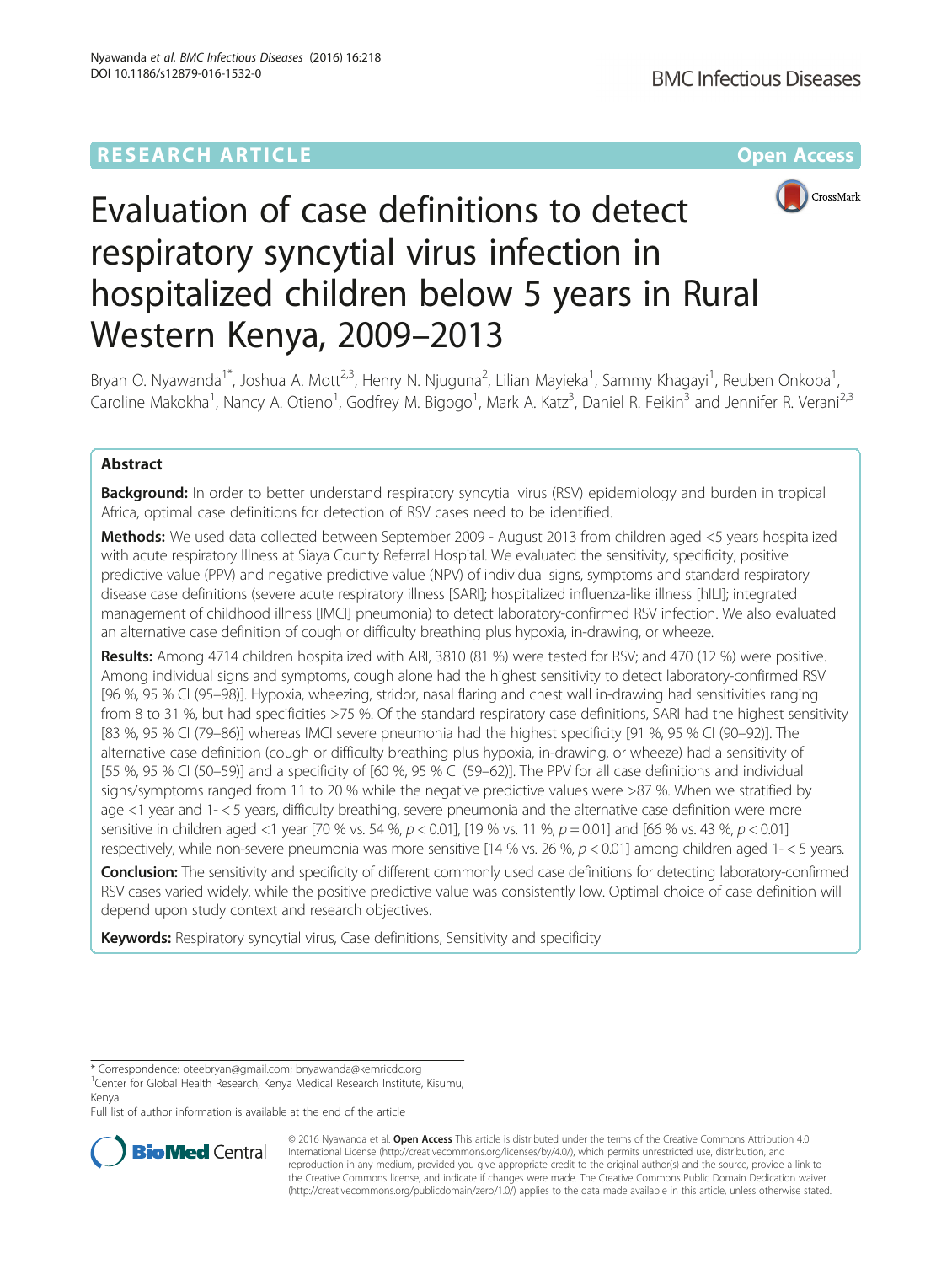# **RESEARCH ARTICLE Example 2014 12:30 The Company Access** (RESEARCH ARTICLE



# Evaluation of case definitions to detect respiratory syncytial virus infection in hospitalized children below 5 years in Rural Western Kenya, 2009–2013

Bryan O. Nyawanda<sup>1\*</sup>, Joshua A. Mott<sup>2,3</sup>, Henry N. Njuguna<sup>2</sup>, Lilian Mayieka<sup>1</sup>, Sammy Khagayi<sup>1</sup>, Reuben Onkoba<sup>1</sup> , Caroline Makokha<sup>1</sup>, Nancy A. Otieno<sup>1</sup>, Godfrey M. Bigogo<sup>1</sup>, Mark A. Katz<sup>3</sup>, Daniel R. Feikin<sup>3</sup> and Jennifer R. Verani<sup>2,3</sup>

# Abstract

Background: In order to better understand respiratory syncytial virus (RSV) epidemiology and burden in tropical Africa, optimal case definitions for detection of RSV cases need to be identified.

Methods: We used data collected between September 2009 - August 2013 from children aged <5 years hospitalized with acute respiratory Illness at Siaya County Referral Hospital. We evaluated the sensitivity, specificity, positive predictive value (PPV) and negative predictive value (NPV) of individual signs, symptoms and standard respiratory disease case definitions (severe acute respiratory illness [SARI]; hospitalized influenza-like illness [hILI]; integrated management of childhood illness [IMCI] pneumonia) to detect laboratory-confirmed RSV infection. We also evaluated an alternative case definition of cough or difficulty breathing plus hypoxia, in-drawing, or wheeze.

Results: Among 4714 children hospitalized with ARI, 3810 (81 %) were tested for RSV; and 470 (12 %) were positive. Among individual signs and symptoms, cough alone had the highest sensitivity to detect laboratory-confirmed RSV [96 %, 95 % CI (95–98)]. Hypoxia, wheezing, stridor, nasal flaring and chest wall in-drawing had sensitivities ranging from 8 to 31 %, but had specificities >75 %. Of the standard respiratory case definitions, SARI had the highest sensitivity [83 %, 95 % CI (79–86)] whereas IMCI severe pneumonia had the highest specificity [91 %, 95 % CI (90–92)]. The alternative case definition (cough or difficulty breathing plus hypoxia, in-drawing, or wheeze) had a sensitivity of [55 %, 95 % CI (50–59)] and a specificity of [60 %, 95 % CI (59–62)]. The PPV for all case definitions and individual signs/symptoms ranged from 11 to 20 % while the negative predictive values were >87 %. When we stratified by age <1 year and 1- < 5 years, difficulty breathing, severe pneumonia and the alternative case definition were more sensitive in children aged <1 year [70 % vs. 54 %,  $p < 0.01$ ], [19 % vs. 11 %,  $p = 0.01$ ] and [66 % vs. 43 %,  $p < 0.01$ ] respectively, while non-severe pneumonia was more sensitive [14 % vs. 26 %,  $p < 0.01$ ] among children aged 1- $<$  5 years.

Conclusion: The sensitivity and specificity of different commonly used case definitions for detecting laboratory-confirmed RSV cases varied widely, while the positive predictive value was consistently low. Optimal choice of case definition will depend upon study context and research objectives.

Keywords: Respiratory syncytial virus, Case definitions, Sensitivity and specificity

Full list of author information is available at the end of the article



© 2016 Nyawanda et al. Open Access This article is distributed under the terms of the Creative Commons Attribution 4.0 International License [\(http://creativecommons.org/licenses/by/4.0/](http://creativecommons.org/licenses/by/4.0/)), which permits unrestricted use, distribution, and reproduction in any medium, provided you give appropriate credit to the original author(s) and the source, provide a link to the Creative Commons license, and indicate if changes were made. The Creative Commons Public Domain Dedication waiver [\(http://creativecommons.org/publicdomain/zero/1.0/](http://creativecommons.org/publicdomain/zero/1.0/)) applies to the data made available in this article, unless otherwise stated.

<sup>\*</sup> Correspondence: [oteebryan@gmail.com;](mailto:oteebryan@gmail.com) [bnyawanda@kemricdc.org](mailto:bnyawanda@kemricdc.org) <sup>1</sup>

<sup>&</sup>lt;sup>1</sup>Center for Global Health Research, Kenya Medical Research Institute, Kisumu, Kenya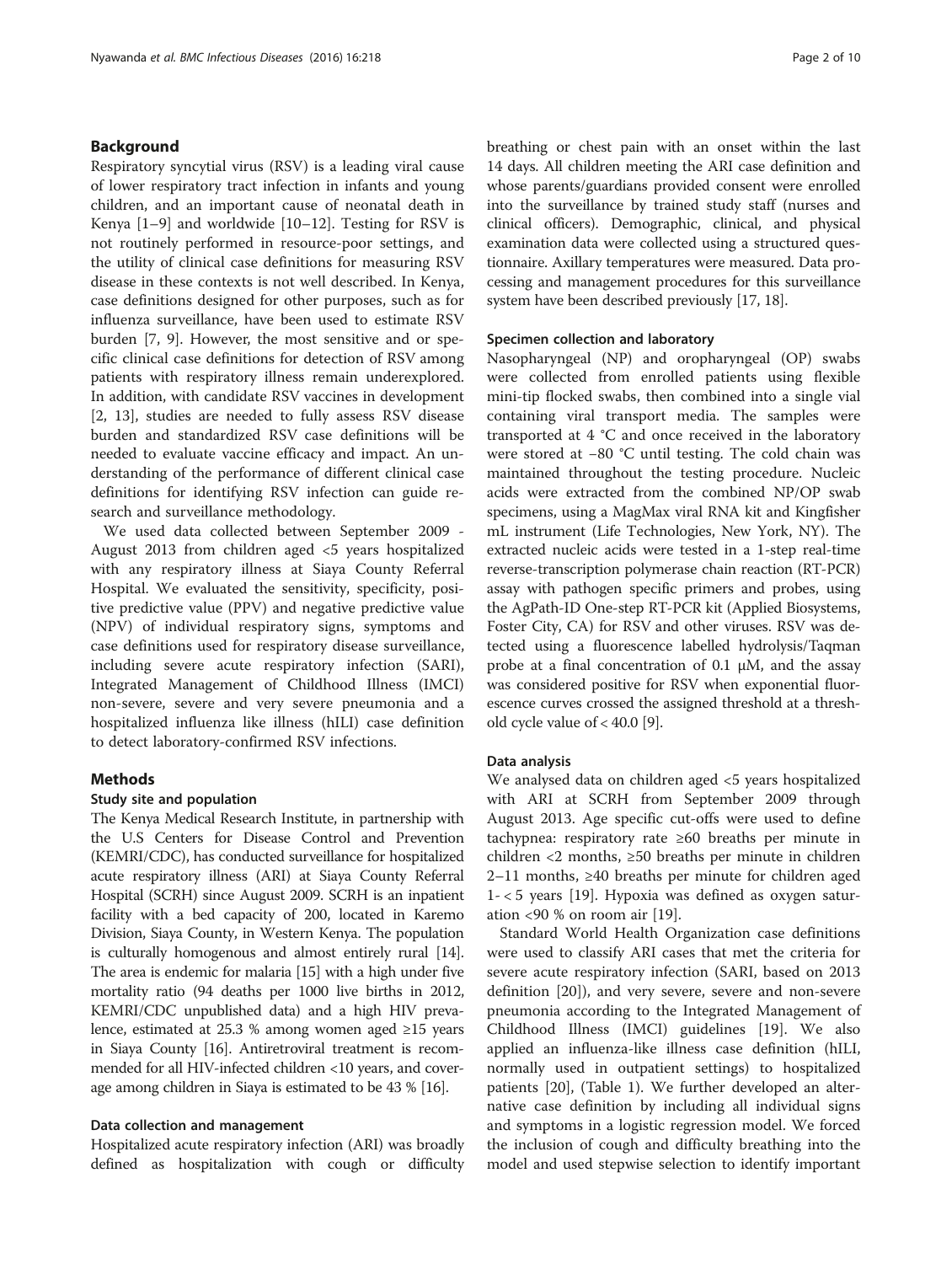# Background

Respiratory syncytial virus (RSV) is a leading viral cause of lower respiratory tract infection in infants and young children, and an important cause of neonatal death in Kenya [[1](#page-8-0)–[9](#page-9-0)] and worldwide [[10](#page-9-0)–[12](#page-9-0)]. Testing for RSV is not routinely performed in resource-poor settings, and the utility of clinical case definitions for measuring RSV disease in these contexts is not well described. In Kenya, case definitions designed for other purposes, such as for influenza surveillance, have been used to estimate RSV burden [\[7](#page-9-0), [9](#page-9-0)]. However, the most sensitive and or specific clinical case definitions for detection of RSV among patients with respiratory illness remain underexplored. In addition, with candidate RSV vaccines in development [[2,](#page-8-0) [13](#page-9-0)], studies are needed to fully assess RSV disease burden and standardized RSV case definitions will be needed to evaluate vaccine efficacy and impact. An understanding of the performance of different clinical case definitions for identifying RSV infection can guide research and surveillance methodology.

We used data collected between September 2009 - August 2013 from children aged <5 years hospitalized with any respiratory illness at Siaya County Referral Hospital. We evaluated the sensitivity, specificity, positive predictive value (PPV) and negative predictive value (NPV) of individual respiratory signs, symptoms and case definitions used for respiratory disease surveillance, including severe acute respiratory infection (SARI), Integrated Management of Childhood Illness (IMCI) non-severe, severe and very severe pneumonia and a hospitalized influenza like illness (hILI) case definition to detect laboratory-confirmed RSV infections.

# Methods

### Study site and population

The Kenya Medical Research Institute, in partnership with the U.S Centers for Disease Control and Prevention (KEMRI/CDC), has conducted surveillance for hospitalized acute respiratory illness (ARI) at Siaya County Referral Hospital (SCRH) since August 2009. SCRH is an inpatient facility with a bed capacity of 200, located in Karemo Division, Siaya County, in Western Kenya. The population is culturally homogenous and almost entirely rural [[14](#page-9-0)]. The area is endemic for malaria [\[15\]](#page-9-0) with a high under five mortality ratio (94 deaths per 1000 live births in 2012, KEMRI/CDC unpublished data) and a high HIV prevalence, estimated at 25.3 % among women aged ≥15 years in Siaya County [\[16\]](#page-9-0). Antiretroviral treatment is recommended for all HIV-infected children <10 years, and coverage among children in Siaya is estimated to be 43 % [\[16\]](#page-9-0).

### Data collection and management

Hospitalized acute respiratory infection (ARI) was broadly defined as hospitalization with cough or difficulty breathing or chest pain with an onset within the last 14 days. All children meeting the ARI case definition and whose parents/guardians provided consent were enrolled into the surveillance by trained study staff (nurses and clinical officers). Demographic, clinical, and physical examination data were collected using a structured questionnaire. Axillary temperatures were measured. Data processing and management procedures for this surveillance system have been described previously [\[17, 18\]](#page-9-0).

#### Specimen collection and laboratory

Nasopharyngeal (NP) and oropharyngeal (OP) swabs were collected from enrolled patients using flexible mini-tip flocked swabs, then combined into a single vial containing viral transport media. The samples were transported at 4 °C and once received in the laboratory were stored at −80 °C until testing. The cold chain was maintained throughout the testing procedure. Nucleic acids were extracted from the combined NP/OP swab specimens, using a MagMax viral RNA kit and Kingfisher mL instrument (Life Technologies, New York, NY). The extracted nucleic acids were tested in a 1-step real-time reverse-transcription polymerase chain reaction (RT-PCR) assay with pathogen specific primers and probes, using the AgPath-ID One-step RT-PCR kit (Applied Biosystems, Foster City, CA) for RSV and other viruses. RSV was detected using a fluorescence labelled hydrolysis/Taqman probe at a final concentration of 0.1 μM, and the assay was considered positive for RSV when exponential fluorescence curves crossed the assigned threshold at a threshold cycle value of  $<$  40.0 [[9\]](#page-9-0).

#### Data analysis

We analysed data on children aged <5 years hospitalized with ARI at SCRH from September 2009 through August 2013. Age specific cut-offs were used to define tachypnea: respiratory rate ≥60 breaths per minute in children <2 months, ≥50 breaths per minute in children 2–11 months, ≥40 breaths per minute for children aged 1- < 5 years [\[19\]](#page-9-0). Hypoxia was defined as oxygen saturation <90 % on room air [\[19](#page-9-0)].

Standard World Health Organization case definitions were used to classify ARI cases that met the criteria for severe acute respiratory infection (SARI, based on 2013 definition [\[20](#page-9-0)]), and very severe, severe and non-severe pneumonia according to the Integrated Management of Childhood Illness (IMCI) guidelines [[19](#page-9-0)]. We also applied an influenza-like illness case definition (hILI, normally used in outpatient settings) to hospitalized patients [\[20\]](#page-9-0), (Table [1\)](#page-2-0). We further developed an alternative case definition by including all individual signs and symptoms in a logistic regression model. We forced the inclusion of cough and difficulty breathing into the model and used stepwise selection to identify important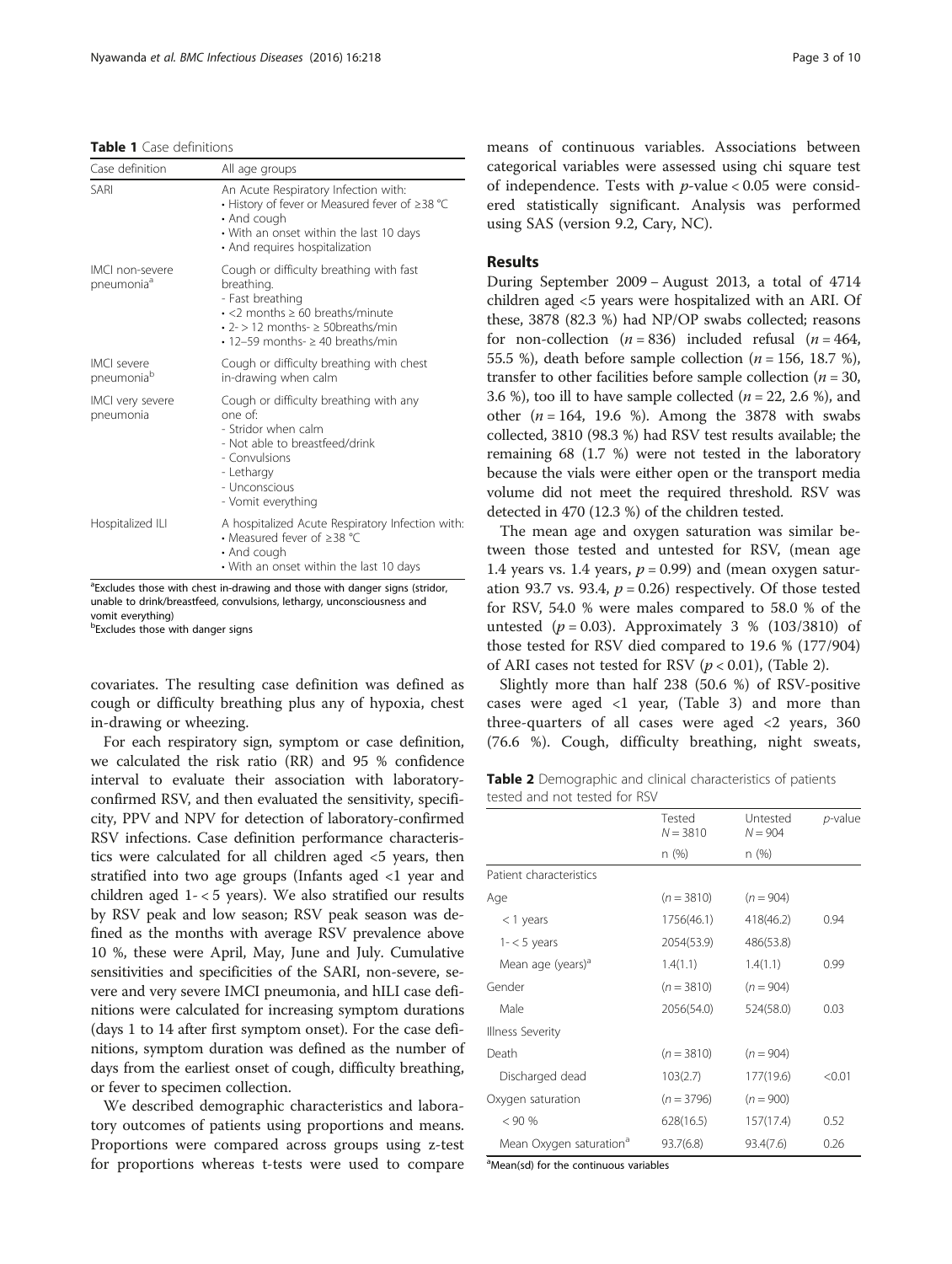#### <span id="page-2-0"></span>Table 1 Case definitions

| Case definition                              | All age groups                                                                                                                                                                                                          |
|----------------------------------------------|-------------------------------------------------------------------------------------------------------------------------------------------------------------------------------------------------------------------------|
| SARI                                         | An Acute Respiratory Infection with:<br>• History of fever or Measured fever of ≥38 °C<br>• And cough<br>• With an onset within the last 10 days<br>• And requires hospitalization                                      |
| IMCI non-severe<br>pneumonia <sup>a</sup>    | Cough or difficulty breathing with fast<br>breathing.<br>- Fast breathing<br>$\cdot$ <2 months $\geq$ 60 breaths/minute<br>$\cdot$ 2- > 12 months- $\geq$ 50 breaths/min<br>$\cdot$ 12-59 months- $\geq$ 40 breaths/min |
| <b>IMCI</b> severe<br>pneumonia <sup>b</sup> | Cough or difficulty breathing with chest<br>in-drawing when calm                                                                                                                                                        |
| IMCI very severe<br>pneumonia                | Cough or difficulty breathing with any<br>one of<br>- Stridor when calm<br>- Not able to breastfeed/drink<br>- Convulsions<br>- Lethargy<br>- Unconscious<br>- Vomit everything                                         |
| Hospitalized ILI                             | A hospitalized Acute Respiratory Infection with:<br>• Measured fever of $\geq$ 38 °C<br>• And cough<br>• With an onset within the last 10 days                                                                          |

<sup>a</sup>Excludes those with chest in-drawing and those with danger signs (stridor, unable to drink/breastfeed, convulsions, lethargy, unconsciousness and vomit everything)

**bExcludes those with danger signs** 

covariates. The resulting case definition was defined as cough or difficulty breathing plus any of hypoxia, chest in-drawing or wheezing.

For each respiratory sign, symptom or case definition, we calculated the risk ratio (RR) and 95 % confidence interval to evaluate their association with laboratoryconfirmed RSV, and then evaluated the sensitivity, specificity, PPV and NPV for detection of laboratory-confirmed RSV infections. Case definition performance characteristics were calculated for all children aged <5 years, then stratified into two age groups (Infants aged <1 year and children aged 1- < 5 years). We also stratified our results by RSV peak and low season; RSV peak season was defined as the months with average RSV prevalence above 10 %, these were April, May, June and July. Cumulative sensitivities and specificities of the SARI, non-severe, severe and very severe IMCI pneumonia, and hILI case definitions were calculated for increasing symptom durations (days 1 to 14 after first symptom onset). For the case definitions, symptom duration was defined as the number of days from the earliest onset of cough, difficulty breathing, or fever to specimen collection.

We described demographic characteristics and laboratory outcomes of patients using proportions and means. Proportions were compared across groups using z-test for proportions whereas t-tests were used to compare

means of continuous variables. Associations between categorical variables were assessed using chi square test of independence. Tests with  $p$ -value < 0.05 were considered statistically significant. Analysis was performed using SAS (version 9.2, Cary, NC).

## Results

During September 2009 − August 2013, a total of 4714 children aged <5 years were hospitalized with an ARI. Of these, 3878 (82.3 %) had NP/OP swabs collected; reasons for non-collection ( $n = 836$ ) included refusal ( $n = 464$ , 55.5 %), death before sample collection ( $n = 156$ , 18.7 %), transfer to other facilities before sample collection ( $n = 30$ , 3.6 %), too ill to have sample collected ( $n = 22, 2.6$  %), and other  $(n = 164, 19.6 \%)$ . Among the 3878 with swabs collected, 3810 (98.3 %) had RSV test results available; the remaining 68 (1.7 %) were not tested in the laboratory because the vials were either open or the transport media volume did not meet the required threshold. RSV was detected in 470 (12.3 %) of the children tested.

The mean age and oxygen saturation was similar between those tested and untested for RSV, (mean age 1.4 years vs. 1.4 years,  $p = 0.99$ ) and (mean oxygen saturation 93.7 vs. 93.4,  $p = 0.26$ ) respectively. Of those tested for RSV, 54.0 % were males compared to 58.0 % of the untested  $(p = 0.03)$ . Approximately 3 % (103/3810) of those tested for RSV died compared to 19.6 % (177/904) of ARI cases not tested for RSV ( $p < 0.01$ ), (Table 2).

Slightly more than half 238 (50.6 %) of RSV-positive cases were aged  $\langle 1 \rangle$  year, (Table [3](#page-3-0)) and more than three-quarters of all cases were aged  $\langle 2 \rangle$  years, 360 (76.6 %). Cough, difficulty breathing, night sweats,

Table 2 Demographic and clinical characteristics of patients tested and not tested for RSV

|                                     | Tested<br>$N = 3810$ | Untested<br>$N = 904$ | <i>p</i> -value |
|-------------------------------------|----------------------|-----------------------|-----------------|
|                                     | n (%)                | n (%)                 |                 |
| Patient characteristics             |                      |                       |                 |
| Age                                 | $(n = 3810)$         | $(n = 904)$           |                 |
| $<$ 1 years                         | 1756(46.1)           | 418(46.2)             | 0.94            |
| $1 - 5$ years                       | 2054(53.9)           | 486(53.8)             |                 |
| Mean age (years) <sup>a</sup>       | 1.4(1.1)             | 1.4(1.1)              | 0.99            |
| Gender                              | $(n = 3810)$         | $(n = 904)$           |                 |
| Male                                | 2056(54.0)           | 524(58.0)             | 0.03            |
| <b>Illness Severity</b>             |                      |                       |                 |
| Death                               | $(n = 3810)$         | $(n = 904)$           |                 |
| Discharged dead                     | 103(2.7)             | 177(19.6)             | < 0.01          |
| Oxygen saturation                   | $(n = 3796)$         | $(n = 900)$           |                 |
| $< 90\%$                            | 628(16.5)            | 157(17.4)             | 0.52            |
| Mean Oxygen saturation <sup>a</sup> | 93.7(6.8)            | 93.4(7.6)             | 0.26            |

<sup>a</sup>Mean(sd) for the continuous variables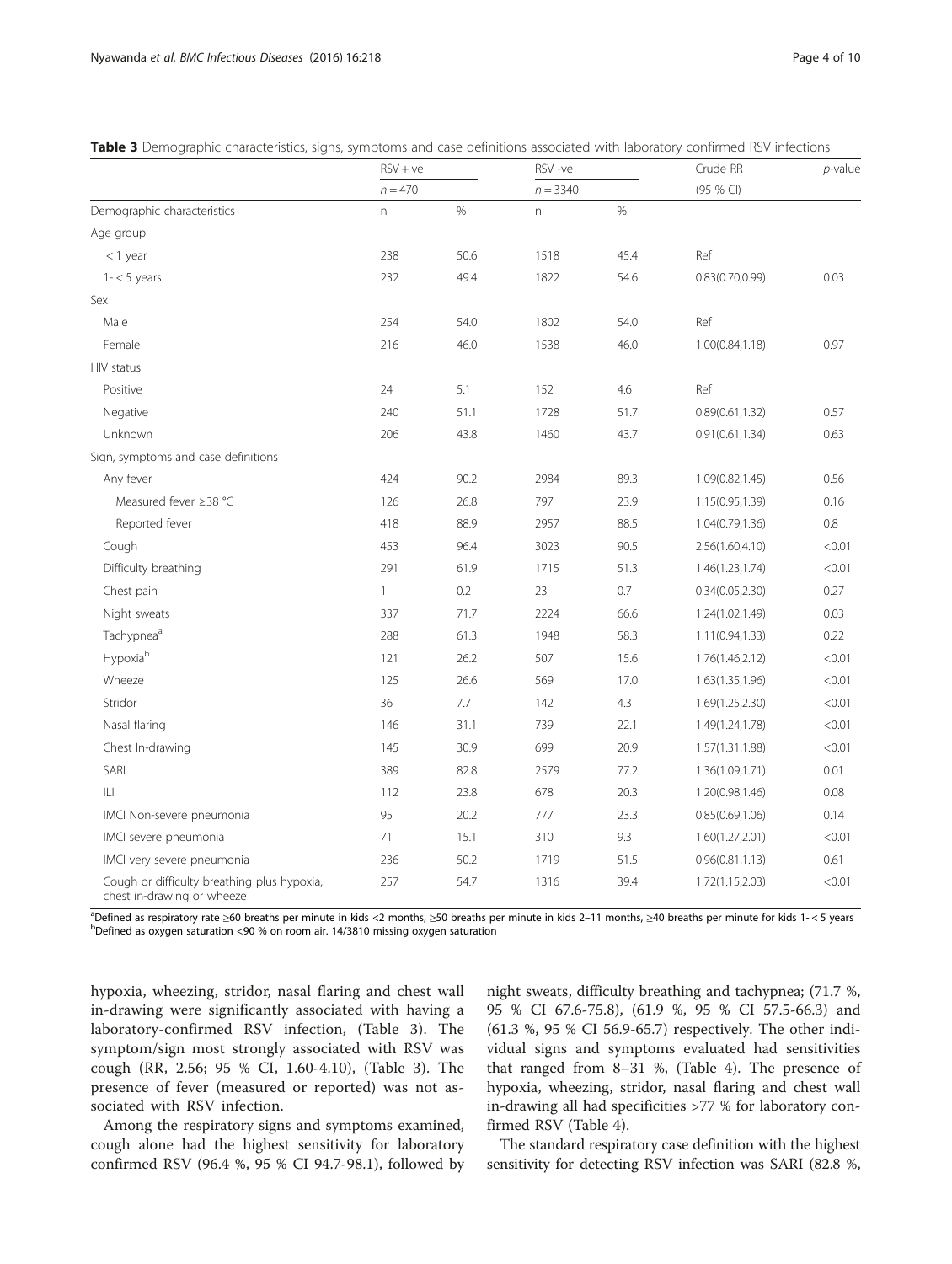|                                                                           | $RSV + ve$<br>$n = 470$ |      | RSV-ve<br>$n = 3340$      |      | Crude RR         | $p$ -value |
|---------------------------------------------------------------------------|-------------------------|------|---------------------------|------|------------------|------------|
|                                                                           |                         |      |                           |      | (95 % CI)        |            |
| Demographic characteristics                                               | $\Gamma$                | $\%$ | $\boldsymbol{\mathsf{n}}$ | $\%$ |                  |            |
| Age group                                                                 |                         |      |                           |      |                  |            |
| $<$ 1 year                                                                | 238                     | 50.6 | 1518                      | 45.4 | Ref              |            |
| $1 - 5$ years                                                             | 232                     | 49.4 | 1822                      | 54.6 | 0.83(0.70, 0.99) | 0.03       |
| Sex                                                                       |                         |      |                           |      |                  |            |
| Male                                                                      | 254                     | 54.0 | 1802                      | 54.0 | Ref              |            |
| Female                                                                    | 216                     | 46.0 | 1538                      | 46.0 | 1.00(0.84, 1.18) | 0.97       |
| HIV status                                                                |                         |      |                           |      |                  |            |
| Positive                                                                  | 24                      | 5.1  | 152                       | 4.6  | Ref              |            |
| Negative                                                                  | 240                     | 51.1 | 1728                      | 51.7 | 0.89(0.61, 1.32) | 0.57       |
| Unknown                                                                   | 206                     | 43.8 | 1460                      | 43.7 | 0.91(0.61, 1.34) | 0.63       |
| Sign, symptoms and case definitions                                       |                         |      |                           |      |                  |            |
| Any fever                                                                 | 424                     | 90.2 | 2984                      | 89.3 | 1.09(0.82, 1.45) | 0.56       |
| Measured fever ≥38 °C                                                     | 126                     | 26.8 | 797                       | 23.9 | 1.15(0.95,1.39)  | 0.16       |
| Reported fever                                                            | 418                     | 88.9 | 2957                      | 88.5 | 1.04(0.79, 1.36) | $0.8\,$    |
| Cough                                                                     | 453                     | 96.4 | 3023                      | 90.5 | 2.56(1.60,4.10)  | < 0.01     |
| Difficulty breathing                                                      | 291                     | 61.9 | 1715                      | 51.3 | 1.46(1.23, 1.74) | < 0.01     |
| Chest pain                                                                | $\mathbf{1}$            | 0.2  | 23                        | 0.7  | 0.34(0.05, 2.30) | 0.27       |
| Night sweats                                                              | 337                     | 71.7 | 2224                      | 66.6 | 1.24(1.02,1.49)  | 0.03       |
| Tachypnea <sup>a</sup>                                                    | 288                     | 61.3 | 1948                      | 58.3 | 1.11(0.94, 1.33) | 0.22       |
| Hypoxiab                                                                  | 121                     | 26.2 | 507                       | 15.6 | 1.76(1.46,2.12)  | < 0.01     |
| Wheeze                                                                    | 125                     | 26.6 | 569                       | 17.0 | 1.63(1.35, 1.96) | < 0.01     |
| Stridor                                                                   | 36                      | 7.7  | 142                       | 4.3  | 1.69(1.25, 2.30) | < 0.01     |
| Nasal flaring                                                             | 146                     | 31.1 | 739                       | 22.1 | 1.49(1.24,1.78)  | < 0.01     |
| Chest In-drawing                                                          | 145                     | 30.9 | 699                       | 20.9 | 1.57(1.31, 1.88) | < 0.01     |
| SARI                                                                      | 389                     | 82.8 | 2579                      | 77.2 | 1.36(1.09,1.71)  | 0.01       |
| IЦ                                                                        | 112                     | 23.8 | 678                       | 20.3 | 1.20(0.98, 1.46) | 0.08       |
| IMCI Non-severe pneumonia                                                 | 95                      | 20.2 | 777                       | 23.3 | 0.85(0.69, 1.06) | 0.14       |
| IMCI severe pneumonia                                                     | 71                      | 15.1 | 310                       | 9.3  | 1.60(1.27,2.01)  | < 0.01     |
| IMCI very severe pneumonia                                                | 236                     | 50.2 | 1719                      | 51.5 | 0.96(0.81, 1.13) | 0.61       |
| Cough or difficulty breathing plus hypoxia,<br>chest in-drawing or wheeze | 257                     | 54.7 | 1316                      | 39.4 | 1.72(1.15,2.03)  | < 0.01     |

<span id="page-3-0"></span>

<sup>a</sup>Defined as respiratory rate ≥60 breaths per minute in kids <2 months, ≥50 breaths per minute in kids 2–11 months, ≥40 breaths per minute for kids 1-<5 years breaths per minute for kids 1-<5 years  $^{b}$ Defined as oxygen saturation <90 % on room air. 14/3810 missing oxygen saturation

hypoxia, wheezing, stridor, nasal flaring and chest wall in-drawing were significantly associated with having a laboratory-confirmed RSV infection, (Table 3). The symptom/sign most strongly associated with RSV was cough (RR, 2.56; 95 % CI, 1.60-4.10), (Table 3). The presence of fever (measured or reported) was not associated with RSV infection.

Among the respiratory signs and symptoms examined, cough alone had the highest sensitivity for laboratory confirmed RSV (96.4 %, 95 % CI 94.7-98.1), followed by

night sweats, difficulty breathing and tachypnea; (71.7 %, 95 % CI 67.6-75.8), (61.9 %, 95 % CI 57.5-66.3) and (61.3 %, 95 % CI 56.9-65.7) respectively. The other individual signs and symptoms evaluated had sensitivities that ranged from 8–31 %, (Table [4](#page-4-0)). The presence of hypoxia, wheezing, stridor, nasal flaring and chest wall in-drawing all had specificities >77 % for laboratory confirmed RSV (Table [4\)](#page-4-0).

The standard respiratory case definition with the highest sensitivity for detecting RSV infection was SARI (82.8 %,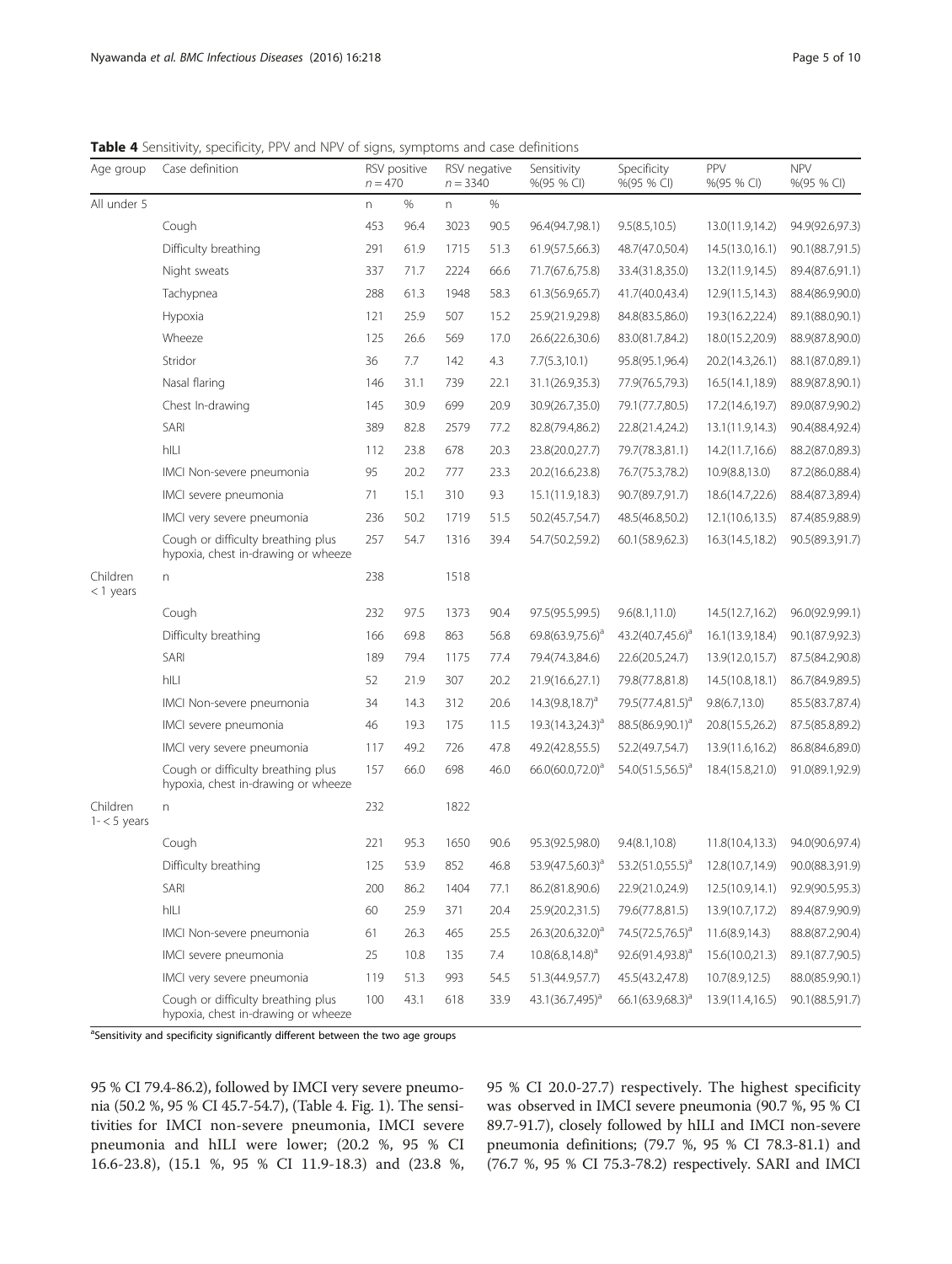<span id="page-4-0"></span>Table 4 Sensitivity, specificity, PPV and NPV of signs, symptoms and case definitions

| Age group                 | Case definition                                                           | $n = 470$ | RSV positive | RSV negative<br>$n = 3340$ |      | Sensitivity<br>%(95 % CI)    | Specificity<br>%(95 % CI)    | PPV<br>%(95 % CI) | <b>NPV</b><br>%(95 % CI) |
|---------------------------|---------------------------------------------------------------------------|-----------|--------------|----------------------------|------|------------------------------|------------------------------|-------------------|--------------------------|
| All under 5               |                                                                           | n         | $\%$         | n                          | $\%$ |                              |                              |                   |                          |
|                           | Cough                                                                     | 453       | 96.4         | 3023                       | 90.5 | 96.4(94.7,98.1)              | 9.5(8.5, 10.5)               | 13.0(11.9,14.2)   | 94.9(92.6,97.3)          |
|                           | Difficulty breathing                                                      | 291       | 61.9         | 1715                       | 51.3 | 61.9(57.5,66.3)              | 48.7(47.0,50.4)              | 14.5(13.0, 16.1)  | 90.1(88.7,91.5)          |
|                           | Night sweats                                                              | 337       | 71.7         | 2224                       | 66.6 | 71.7(67.6,75.8)              | 33.4(31.8,35.0)              | 13.2(11.9,14.5)   | 89.4(87.6,91.1)          |
|                           | Tachypnea                                                                 | 288       | 61.3         | 1948                       | 58.3 | 61.3(56.9,65.7)              | 41.7(40.0,43.4)              | 12.9(11.5,14.3)   | 88.4(86.9,90.0)          |
|                           | Hypoxia                                                                   | 121       | 25.9         | 507                        | 15.2 | 25.9(21.9,29.8)              | 84.8(83.5,86.0)              | 19.3(16.2,22.4)   | 89.1(88.0,90.1)          |
|                           | Wheeze                                                                    | 125       | 26.6         | 569                        | 17.0 | 26.6(22.6,30.6)              | 83.0(81.7,84.2)              | 18.0(15.2,20.9)   | 88.9(87.8,90.0)          |
|                           | Stridor                                                                   | 36        | 7.7          | 142                        | 4.3  | 7.7(5.3,10.1)                | 95.8(95.1,96.4)              | 20.2(14.3,26.1)   | 88.1(87.0,89.1)          |
|                           | Nasal flaring                                                             | 146       | 31.1         | 739                        | 22.1 | 31.1(26.9,35.3)              | 77.9(76.5,79.3)              | 16.5(14.1,18.9)   | 88.9(87.8,90.1)          |
|                           | Chest In-drawing                                                          | 145       | 30.9         | 699                        | 20.9 | 30.9(26.7,35.0)              | 79.1(77.7,80.5)              | 17.2(14.6,19.7)   | 89.0(87.9,90.2)          |
|                           | SARI                                                                      | 389       | 82.8         | 2579                       | 77.2 | 82.8(79.4,86.2)              | 22.8(21.4,24.2)              | 13.1(11.9,14.3)   | 90.4(88.4,92.4)          |
|                           | hILI                                                                      | 112       | 23.8         | 678                        | 20.3 | 23.8(20.0,27.7)              | 79.7(78.3,81.1)              | 14.2(11.7,16.6)   | 88.2(87.0,89.3)          |
|                           | IMCI Non-severe pneumonia                                                 | 95        | 20.2         | 777                        | 23.3 | 20.2(16.6,23.8)              | 76.7(75.3,78.2)              | 10.9(8.8,13.0)    | 87.2(86.0,88.4)          |
|                           | IMCI severe pneumonia                                                     | 71        | 15.1         | 310                        | 9.3  | 15.1(11.9,18.3)              | 90.7(89.7,91.7)              | 18.6(14.7,22.6)   | 88.4(87.3,89.4)          |
|                           | IMCI very severe pneumonia                                                | 236       | 50.2         | 1719                       | 51.5 | 50.2(45.7,54.7)              | 48.5(46.8,50.2)              | 12.1(10.6,13.5)   | 87.4(85.9,88.9)          |
|                           | Cough or difficulty breathing plus<br>hypoxia, chest in-drawing or wheeze | 257       | 54.7         | 1316                       | 39.4 | 54.7(50.2,59.2)              | 60.1(58.9,62.3)              | 16.3(14.5,18.2)   | 90.5(89.3,91.7)          |
| Children<br>$<$ 1 years   | $\Gamma$                                                                  | 238       |              | 1518                       |      |                              |                              |                   |                          |
|                           | Cough                                                                     | 232       | 97.5         | 1373                       | 90.4 | 97.5(95.5,99.5)              | 9.6(8.1, 11.0)               | 14.5(12.7,16.2)   | 96.0(92.9,99.1)          |
|                           | Difficulty breathing                                                      | 166       | 69.8         | 863                        | 56.8 | 69.8(63.9,75.6) <sup>a</sup> | $43.2(40.7,45.6)^a$          | 16.1(13.9,18.4)   | 90.1(87.9,92.3)          |
|                           | SARI                                                                      | 189       | 79.4         | 1175                       | 77.4 | 79.4(74.3,84.6)              | 22.6(20.5,24.7)              | 13.9(12.0,15.7)   | 87.5(84.2,90.8)          |
|                           | hILI                                                                      | 52        | 21.9         | 307                        | 20.2 | 21.9(16.6,27.1)              | 79.8(77.8,81.8)              | 14.5(10.8,18.1)   | 86.7(84.9,89.5)          |
|                           | IMCI Non-severe pneumonia                                                 | 34        | 14.3         | 312                        | 20.6 | $14.3(9.8, 18.7)^a$          | 79.5(77.4,81.5) <sup>a</sup> | 9.8(6.7, 13.0)    | 85.5(83.7,87.4)          |
|                           | IMCI severe pneumonia                                                     | 46        | 19.3         | 175                        | 11.5 | $19.3(14.3,24.3)^{a}$        | 88.5(86.9,90.1) <sup>a</sup> | 20.8(15.5,26.2)   | 87.5(85.8,89.2)          |
|                           | IMCI very severe pneumonia                                                | 117       | 49.2         | 726                        | 47.8 | 49.2(42.8,55.5)              | 52.2(49.7,54.7)              | 13.9(11.6,16.2)   | 86.8(84.6,89.0)          |
|                           | Cough or difficulty breathing plus<br>hypoxia, chest in-drawing or wheeze | 157       | 66.0         | 698                        | 46.0 | 66.0(60.0,72.0) <sup>a</sup> | $54.0(51.5,56.5)^a$          | 18.4(15.8,21.0)   | 91.0(89.1,92.9)          |
| Children<br>$1 - 5$ years | $\Gamma$                                                                  | 232       |              | 1822                       |      |                              |                              |                   |                          |
|                           | Cough                                                                     | 221       | 95.3         | 1650                       | 90.6 | 95.3(92.5,98.0)              | 9.4(8.1, 10.8)               | 11.8(10.4,13.3)   | 94.0(90.6,97.4)          |
|                           | Difficulty breathing                                                      | 125       | 53.9         | 852                        | 46.8 | 53.9(47.5,60.3) <sup>a</sup> | $53.2(51.0,55.5)^a$          | 12.8(10.7,14.9)   | 90.0(88.3,91.9)          |
|                           | SARI                                                                      | 200       | 86.2         | 1404                       | 77.1 | 86.2(81.8,90.6)              | 22.9(21.0,24.9)              | 12.5(10.9,14.1)   | 92.9(90.5,95.3)          |
|                           | hILI                                                                      | 60        | 25.9         | 371                        | 20.4 | 25.9(20.2,31.5)              | 79.6(77.8,81.5)              | 13.9(10.7,17.2)   | 89.4(87.9,90.9)          |
|                           | IMCI Non-severe pneumonia                                                 | 61        | 26.3         | 465                        | 25.5 | 26.3(20.6,32.0) <sup>a</sup> | 74.5(72.5,76.5) <sup>a</sup> | 11.6(8.9,14.3)    | 88.8(87.2,90.4)          |
|                           | IMCI severe pneumonia                                                     | 25        | 10.8         | 135                        | 7.4  | $10.8(6.8, 14.8)^a$          | 92.6(91.4,93.8) <sup>a</sup> | 15.6(10.0,21.3)   | 89.1(87.7,90.5)          |
|                           | IMCI very severe pneumonia                                                | 119       | 51.3         | 993                        | 54.5 | 51.3(44.9,57.7)              | 45.5(43.2,47.8)              | 10.7(8.9,12.5)    | 88.0(85.9,90.1)          |
|                           | Cough or difficulty breathing plus<br>hypoxia, chest in-drawing or wheeze | 100       | 43.1         | 618                        | 33.9 | 43.1(36.7,495) <sup>a</sup>  | $66.1(63.9,68.3)^a$          | 13.9(11.4,16.5)   | 90.1(88.5,91.7)          |

<sup>a</sup>Sensitivity and specificity significantly different between the two age groups

95 % CI 79.4-86.2), followed by IMCI very severe pneumonia (50.2 %, 95 % CI 45.7-54.7), (Table 4. Fig. [1](#page-5-0)). The sensitivities for IMCI non-severe pneumonia, IMCI severe pneumonia and hILI were lower; (20.2 %, 95 % CI 16.6-23.8), (15.1 %, 95 % CI 11.9-18.3) and (23.8 %,

95 % CI 20.0-27.7) respectively. The highest specificity was observed in IMCI severe pneumonia (90.7 %, 95 % CI 89.7-91.7), closely followed by hILI and IMCI non-severe pneumonia definitions; (79.7 %, 95 % CI 78.3-81.1) and (76.7 %, 95 % CI 75.3-78.2) respectively. SARI and IMCI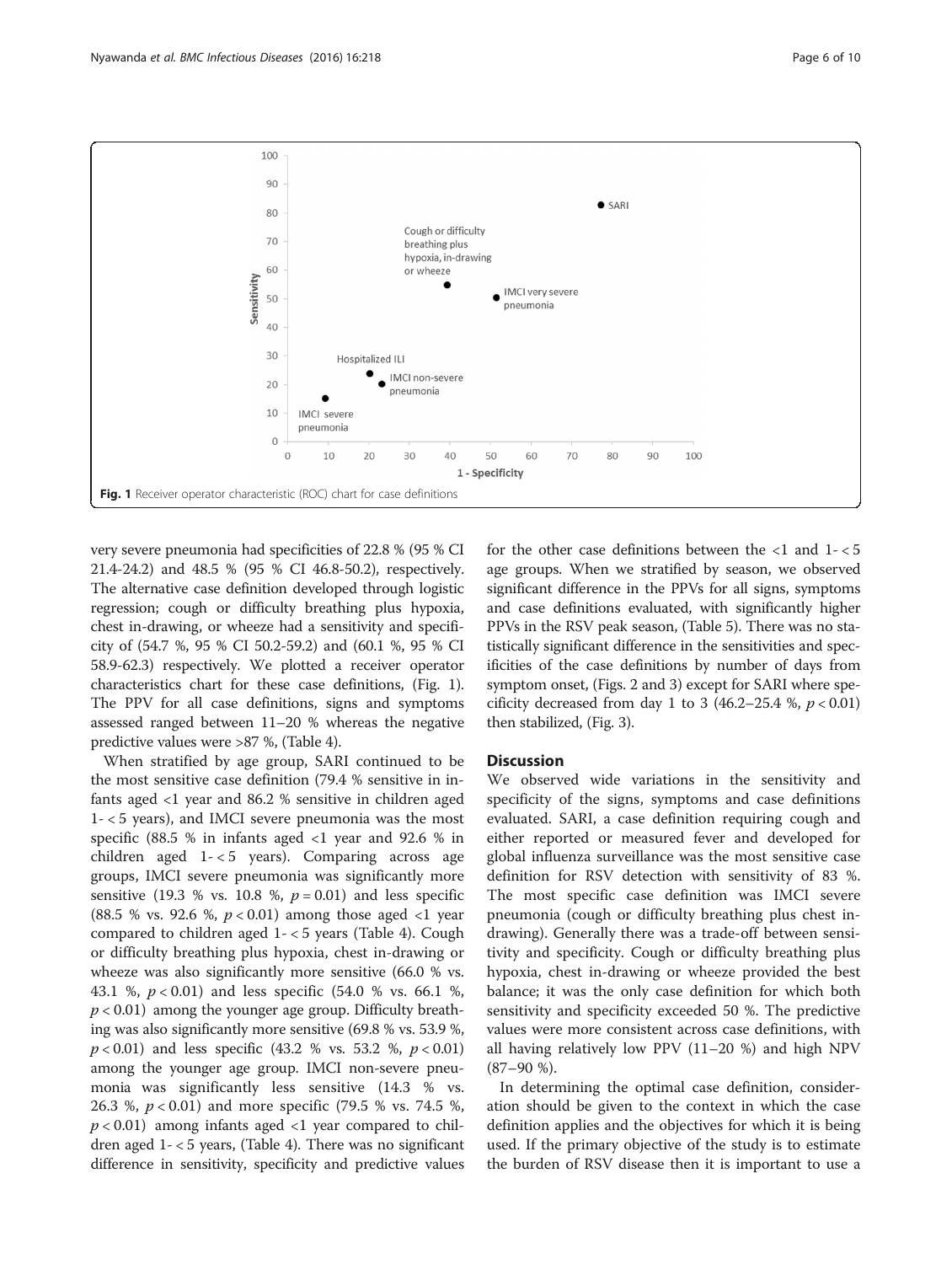<span id="page-5-0"></span>

very severe pneumonia had specificities of 22.8 % (95 % CI 21.4-24.2) and 48.5 % (95 % CI 46.8-50.2), respectively. The alternative case definition developed through logistic regression; cough or difficulty breathing plus hypoxia, chest in-drawing, or wheeze had a sensitivity and specificity of (54.7 %, 95 % CI 50.2-59.2) and (60.1 %, 95 % CI 58.9-62.3) respectively. We plotted a receiver operator characteristics chart for these case definitions, (Fig. 1). The PPV for all case definitions, signs and symptoms assessed ranged between 11–20 % whereas the negative predictive values were >87 %, (Table [4\)](#page-4-0).

When stratified by age group, SARI continued to be the most sensitive case definition (79.4 % sensitive in infants aged <1 year and 86.2 % sensitive in children aged 1- < 5 years), and IMCI severe pneumonia was the most specific (88.5 % in infants aged  $\langle$ 1 year and 92.6 % in children aged 1- < 5 years). Comparing across age groups, IMCI severe pneumonia was significantly more sensitive (19.3 % vs. 10.8 %,  $p = 0.01$ ) and less specific (88.5 % vs. 92.6 %,  $p < 0.01$ ) among those aged  $< 1$  year compared to children aged 1- < 5 years (Table [4\)](#page-4-0). Cough or difficulty breathing plus hypoxia, chest in-drawing or wheeze was also significantly more sensitive (66.0 % vs.) 43.1 %, p < 0.01) and less specific (54.0 % vs. 66.1 %,  $p < 0.01$ ) among the younger age group. Difficulty breathing was also significantly more sensitive (69.8 % vs. 53.9 %,  $p < 0.01$ ) and less specific (43.2 % vs. 53.2 %,  $p < 0.01$ ) among the younger age group. IMCI non-severe pneumonia was significantly less sensitive (14.3 % vs. 26.3 %, p < 0.01) and more specific (79.5 % vs. 74.5 %,  $p < 0.01$ ) among infants aged  $< 1$  year compared to children aged  $1 - 5$  years, (Table [4](#page-4-0)). There was no significant difference in sensitivity, specificity and predictive values

for the other case definitions between the  $\langle 1 \rangle$  and  $1 - \langle 5 \rangle$ age groups. When we stratified by season, we observed significant difference in the PPVs for all signs, symptoms and case definitions evaluated, with significantly higher PPVs in the RSV peak season, (Table [5](#page-6-0)). There was no statistically significant difference in the sensitivities and specificities of the case definitions by number of days from symptom onset, (Figs. [2](#page-6-0) and [3\)](#page-7-0) except for SARI where specificity decreased from day 1 to 3 (46.2–25.4 %,  $p < 0.01$ ) then stabilized, (Fig. [3\)](#page-7-0).

# **Discussion**

We observed wide variations in the sensitivity and specificity of the signs, symptoms and case definitions evaluated. SARI, a case definition requiring cough and either reported or measured fever and developed for global influenza surveillance was the most sensitive case definition for RSV detection with sensitivity of 83 %. The most specific case definition was IMCI severe pneumonia (cough or difficulty breathing plus chest indrawing). Generally there was a trade-off between sensitivity and specificity. Cough or difficulty breathing plus hypoxia, chest in-drawing or wheeze provided the best balance; it was the only case definition for which both sensitivity and specificity exceeded 50 %. The predictive values were more consistent across case definitions, with all having relatively low PPV (11–20 %) and high NPV (87–90 %).

In determining the optimal case definition, consideration should be given to the context in which the case definition applies and the objectives for which it is being used. If the primary objective of the study is to estimate the burden of RSV disease then it is important to use a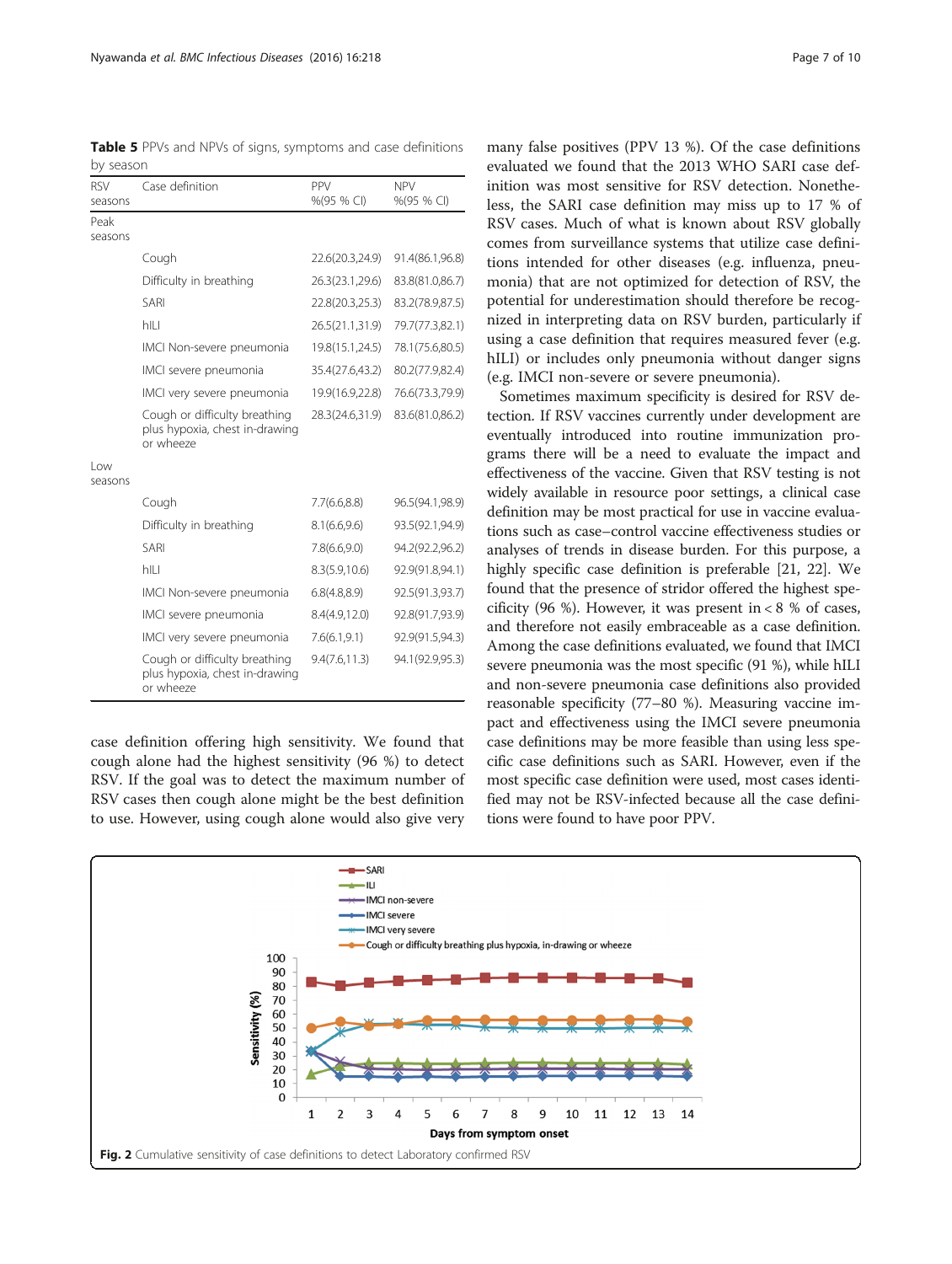<span id="page-6-0"></span>Table 5 PPVs and NPVs of signs, symptoms and case definitions by season

| <b>RSV</b><br>seasons | Case definition                                                              | PPV<br>%(95 % CI) | <b>NPV</b><br>%(95 % CI) |
|-----------------------|------------------------------------------------------------------------------|-------------------|--------------------------|
| Peak<br>seasons       |                                                                              |                   |                          |
|                       | Cough                                                                        | 22.6(20.3,24.9)   | 91.4(86.1,96.8)          |
|                       | Difficulty in breathing                                                      | 26.3(23.1,29.6)   | 83.8(81.0,86.7)          |
|                       | SARI                                                                         | 22.8(20.3,25.3)   | 83.2(78.9,87.5)          |
|                       | hll I                                                                        | 26.5(21.1,31.9)   | 79.7(77.3,82.1)          |
|                       | IMCI Non-severe pneumonia                                                    | 19.8(15.1,24.5)   | 78.1(75.6,80.5)          |
|                       | IMCI severe pneumonia                                                        | 35.4(27.6,43.2)   | 80.2(77.9,82.4)          |
|                       | IMCI very severe pneumonia                                                   | 19.9(16.9,22.8)   | 76.6(73.3,79.9)          |
|                       | Cough or difficulty breathing<br>plus hypoxia, chest in-drawing<br>or wheeze | 28.3(24.6,31.9)   | 83.6(81.0,86.2)          |
| l ow<br>seasons       |                                                                              |                   |                          |
|                       | Cough                                                                        | 7.7(6.6, 8.8)     | 96.5(94.1,98.9)          |
|                       | Difficulty in breathing                                                      | 8.1(6.6, 9.6)     | 93.5(92.1,94.9)          |
|                       | SARI                                                                         | 7.8(6.6, 9.0)     | 94.2(92.2,96.2)          |
|                       | hILI                                                                         | 8.3(5.9,10.6)     | 92.9(91.8,94.1)          |
|                       | IMCI Non-severe pneumonia                                                    | 6.8(4.8,8.9)      | 92.5(91.3,93.7)          |
|                       | IMCI severe pneumonia                                                        | 8.4(4.9,12.0)     | 92.8(91.7,93.9)          |
|                       | IMCI very severe pneumonia                                                   | 7.6(6.1, 9.1)     | 92.9(91.5,94.3)          |
|                       | Cough or difficulty breathing<br>plus hypoxia, chest in-drawing<br>or wheeze | 9.4(7.6, 11.3)    | 94.1(92.9,95.3)          |

case definition offering high sensitivity. We found that cough alone had the highest sensitivity (96 %) to detect RSV. If the goal was to detect the maximum number of RSV cases then cough alone might be the best definition to use. However, using cough alone would also give very

many false positives (PPV 13 %). Of the case definitions evaluated we found that the 2013 WHO SARI case definition was most sensitive for RSV detection. Nonetheless, the SARI case definition may miss up to 17 % of RSV cases. Much of what is known about RSV globally comes from surveillance systems that utilize case definitions intended for other diseases (e.g. influenza, pneumonia) that are not optimized for detection of RSV, the potential for underestimation should therefore be recognized in interpreting data on RSV burden, particularly if using a case definition that requires measured fever (e.g. hILI) or includes only pneumonia without danger signs (e.g. IMCI non-severe or severe pneumonia).

Sometimes maximum specificity is desired for RSV detection. If RSV vaccines currently under development are eventually introduced into routine immunization programs there will be a need to evaluate the impact and effectiveness of the vaccine. Given that RSV testing is not widely available in resource poor settings, a clinical case definition may be most practical for use in vaccine evaluations such as case–control vaccine effectiveness studies or analyses of trends in disease burden. For this purpose, a highly specific case definition is preferable [\[21, 22\]](#page-9-0). We found that the presence of stridor offered the highest specificity (96 %). However, it was present in  $< 8$  % of cases, and therefore not easily embraceable as a case definition. Among the case definitions evaluated, we found that IMCI severe pneumonia was the most specific (91 %), while hILI and non-severe pneumonia case definitions also provided reasonable specificity (77–80 %). Measuring vaccine impact and effectiveness using the IMCI severe pneumonia case definitions may be more feasible than using less specific case definitions such as SARI. However, even if the most specific case definition were used, most cases identified may not be RSV-infected because all the case definitions were found to have poor PPV.

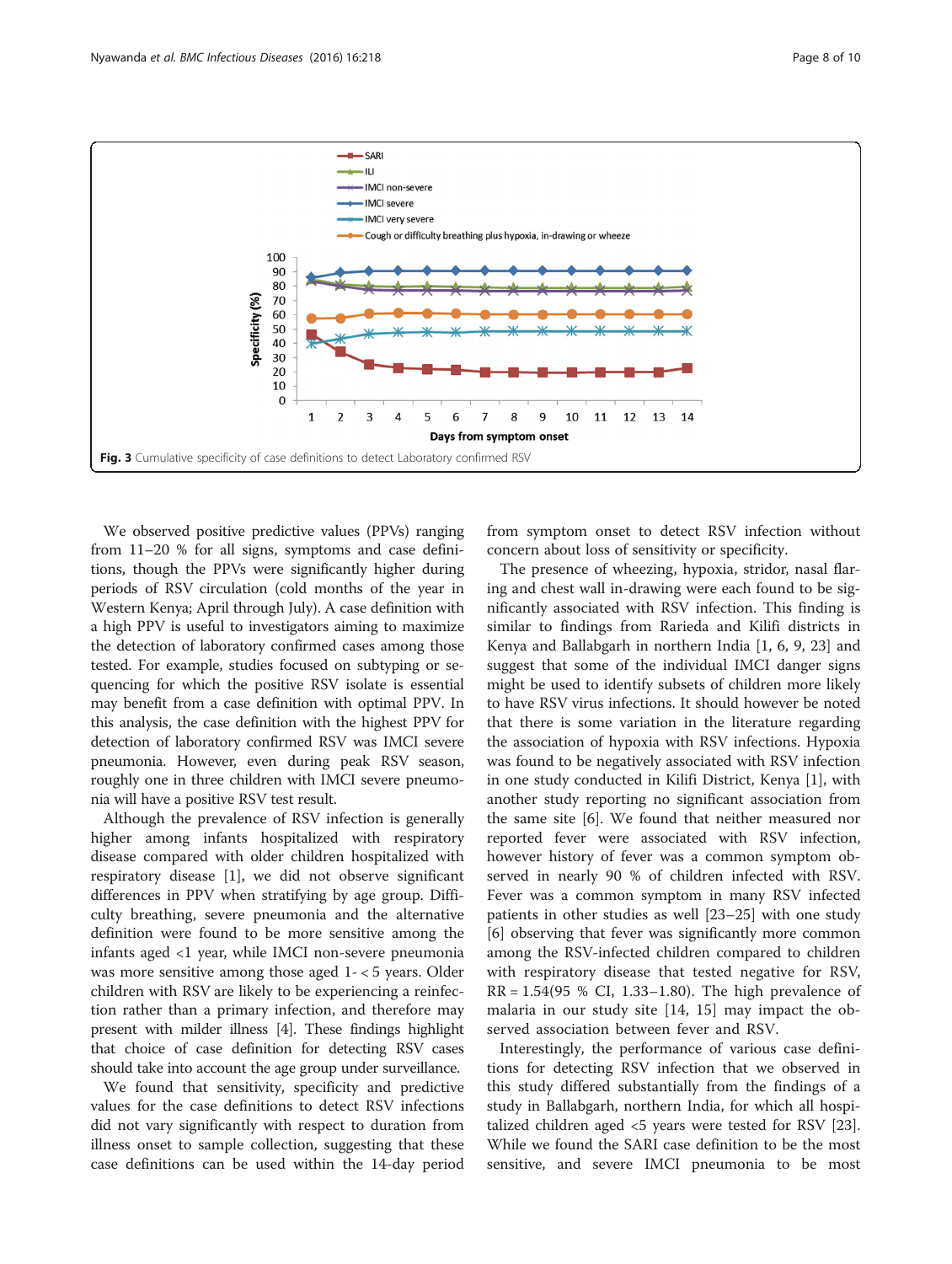<span id="page-7-0"></span>

We observed positive predictive values (PPVs) ranging from 11–20 % for all signs, symptoms and case definitions, though the PPVs were significantly higher during periods of RSV circulation (cold months of the year in Western Kenya; April through July). A case definition with a high PPV is useful to investigators aiming to maximize the detection of laboratory confirmed cases among those tested. For example, studies focused on subtyping or sequencing for which the positive RSV isolate is essential may benefit from a case definition with optimal PPV. In this analysis, the case definition with the highest PPV for detection of laboratory confirmed RSV was IMCI severe pneumonia. However, even during peak RSV season, roughly one in three children with IMCI severe pneumonia will have a positive RSV test result.

Although the prevalence of RSV infection is generally higher among infants hospitalized with respiratory disease compared with older children hospitalized with respiratory disease [\[1\]](#page-8-0), we did not observe significant differences in PPV when stratifying by age group. Difficulty breathing, severe pneumonia and the alternative definition were found to be more sensitive among the infants aged <1 year, while IMCI non-severe pneumonia was more sensitive among those aged 1- < 5 years. Older children with RSV are likely to be experiencing a reinfection rather than a primary infection, and therefore may present with milder illness [[4\]](#page-8-0). These findings highlight that choice of case definition for detecting RSV cases should take into account the age group under surveillance.

We found that sensitivity, specificity and predictive values for the case definitions to detect RSV infections did not vary significantly with respect to duration from illness onset to sample collection, suggesting that these case definitions can be used within the 14-day period from symptom onset to detect RSV infection without concern about loss of sensitivity or specificity.

The presence of wheezing, hypoxia, stridor, nasal flaring and chest wall in-drawing were each found to be significantly associated with RSV infection. This finding is similar to findings from Rarieda and Kilifi districts in Kenya and Ballabgarh in northern India [\[1](#page-8-0), [6](#page-9-0), [9, 23](#page-9-0)] and suggest that some of the individual IMCI danger signs might be used to identify subsets of children more likely to have RSV virus infections. It should however be noted that there is some variation in the literature regarding the association of hypoxia with RSV infections. Hypoxia was found to be negatively associated with RSV infection in one study conducted in Kilifi District, Kenya [\[1](#page-8-0)], with another study reporting no significant association from the same site [\[6](#page-9-0)]. We found that neither measured nor reported fever were associated with RSV infection, however history of fever was a common symptom observed in nearly 90 % of children infected with RSV. Fever was a common symptom in many RSV infected patients in other studies as well [\[23](#page-9-0)–[25\]](#page-9-0) with one study [[6\]](#page-9-0) observing that fever was significantly more common among the RSV-infected children compared to children with respiratory disease that tested negative for RSV,  $RR = 1.54(95 % CI, 1.33–1.80)$ . The high prevalence of malaria in our study site [[14](#page-9-0), [15\]](#page-9-0) may impact the observed association between fever and RSV.

Interestingly, the performance of various case definitions for detecting RSV infection that we observed in this study differed substantially from the findings of a study in Ballabgarh, northern India, for which all hospitalized children aged <5 years were tested for RSV [\[23](#page-9-0)]. While we found the SARI case definition to be the most sensitive, and severe IMCI pneumonia to be most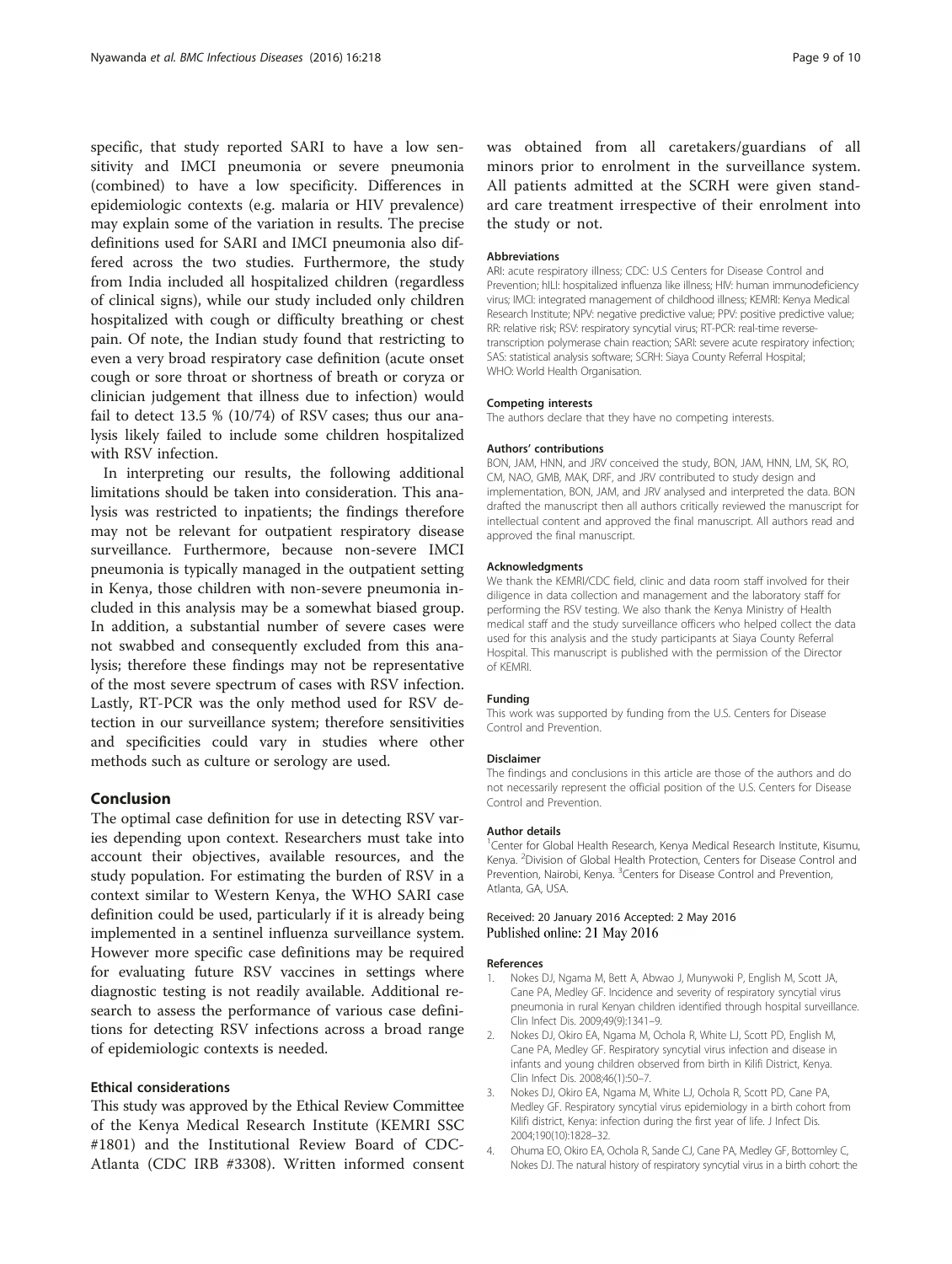<span id="page-8-0"></span>specific, that study reported SARI to have a low sensitivity and IMCI pneumonia or severe pneumonia (combined) to have a low specificity. Differences in epidemiologic contexts (e.g. malaria or HIV prevalence) may explain some of the variation in results. The precise definitions used for SARI and IMCI pneumonia also differed across the two studies. Furthermore, the study from India included all hospitalized children (regardless of clinical signs), while our study included only children hospitalized with cough or difficulty breathing or chest pain. Of note, the Indian study found that restricting to even a very broad respiratory case definition (acute onset cough or sore throat or shortness of breath or coryza or clinician judgement that illness due to infection) would fail to detect 13.5 % (10/74) of RSV cases; thus our analysis likely failed to include some children hospitalized with RSV infection.

In interpreting our results, the following additional limitations should be taken into consideration. This analysis was restricted to inpatients; the findings therefore may not be relevant for outpatient respiratory disease surveillance. Furthermore, because non-severe IMCI pneumonia is typically managed in the outpatient setting in Kenya, those children with non-severe pneumonia included in this analysis may be a somewhat biased group. In addition, a substantial number of severe cases were not swabbed and consequently excluded from this analysis; therefore these findings may not be representative of the most severe spectrum of cases with RSV infection. Lastly, RT-PCR was the only method used for RSV detection in our surveillance system; therefore sensitivities and specificities could vary in studies where other methods such as culture or serology are used.

#### Conclusion

The optimal case definition for use in detecting RSV varies depending upon context. Researchers must take into account their objectives, available resources, and the study population. For estimating the burden of RSV in a context similar to Western Kenya, the WHO SARI case definition could be used, particularly if it is already being implemented in a sentinel influenza surveillance system. However more specific case definitions may be required for evaluating future RSV vaccines in settings where diagnostic testing is not readily available. Additional research to assess the performance of various case definitions for detecting RSV infections across a broad range of epidemiologic contexts is needed.

### Ethical considerations

This study was approved by the Ethical Review Committee of the Kenya Medical Research Institute (KEMRI SSC #1801) and the Institutional Review Board of CDC-Atlanta (CDC IRB #3308). Written informed consent was obtained from all caretakers/guardians of all minors prior to enrolment in the surveillance system. All patients admitted at the SCRH were given standard care treatment irrespective of their enrolment into the study or not.

#### Abbreviations

ARI: acute respiratory illness; CDC: U.S Centers for Disease Control and Prevention; hILI: hospitalized influenza like illness; HIV: human immunodeficiency virus; IMCI: integrated management of childhood illness; KEMRI: Kenya Medical Research Institute; NPV: negative predictive value; PPV: positive predictive value; RR: relative risk; RSV: respiratory syncytial virus; RT-PCR: real-time reversetranscription polymerase chain reaction; SARI: severe acute respiratory infection; SAS: statistical analysis software; SCRH: Siaya County Referral Hospital; WHO: World Health Organisation.

#### Competing interests

The authors declare that they have no competing interests.

#### Authors' contributions

BON, JAM, HNN, and JRV conceived the study, BON, JAM, HNN, LM, SK, RO, CM, NAO, GMB, MAK, DRF, and JRV contributed to study design and implementation, BON, JAM, and JRV analysed and interpreted the data. BON drafted the manuscript then all authors critically reviewed the manuscript for intellectual content and approved the final manuscript. All authors read and approved the final manuscript.

#### Acknowledgments

We thank the KEMRI/CDC field, clinic and data room staff involved for their diligence in data collection and management and the laboratory staff for performing the RSV testing. We also thank the Kenya Ministry of Health medical staff and the study surveillance officers who helped collect the data used for this analysis and the study participants at Siaya County Referral Hospital. This manuscript is published with the permission of the Director of KEMRI.

#### Funding

This work was supported by funding from the U.S. Centers for Disease Control and Prevention.

#### Disclaimer

The findings and conclusions in this article are those of the authors and do not necessarily represent the official position of the U.S. Centers for Disease Control and Prevention.

#### Author details

<sup>1</sup> Center for Global Health Research, Kenya Medical Research Institute, Kisumu, Kenya. <sup>2</sup> Division of Global Health Protection, Centers for Disease Control and Prevention, Nairobi, Kenya. <sup>3</sup>Centers for Disease Control and Prevention, Atlanta, GA, USA.

#### Received: 20 January 2016 Accepted: 2 May 2016 Published online: 21 May 2016

#### References

- 1. Nokes DJ, Ngama M, Bett A, Abwao J, Munywoki P, English M, Scott JA, Cane PA, Medley GF. Incidence and severity of respiratory syncytial virus pneumonia in rural Kenyan children identified through hospital surveillance. Clin Infect Dis. 2009;49(9):1341–9.
- 2. Nokes DJ, Okiro EA, Ngama M, Ochola R, White LJ, Scott PD, English M, Cane PA, Medley GF. Respiratory syncytial virus infection and disease in infants and young children observed from birth in Kilifi District, Kenya. Clin Infect Dis. 2008;46(1):50–7.
- 3. Nokes DJ, Okiro EA, Ngama M, White LJ, Ochola R, Scott PD, Cane PA, Medley GF. Respiratory syncytial virus epidemiology in a birth cohort from Kilifi district, Kenya: infection during the first year of life. J Infect Dis. 2004;190(10):1828–32.
- 4. Ohuma EO, Okiro EA, Ochola R, Sande CJ, Cane PA, Medley GF, Bottomley C, Nokes DJ. The natural history of respiratory syncytial virus in a birth cohort: the